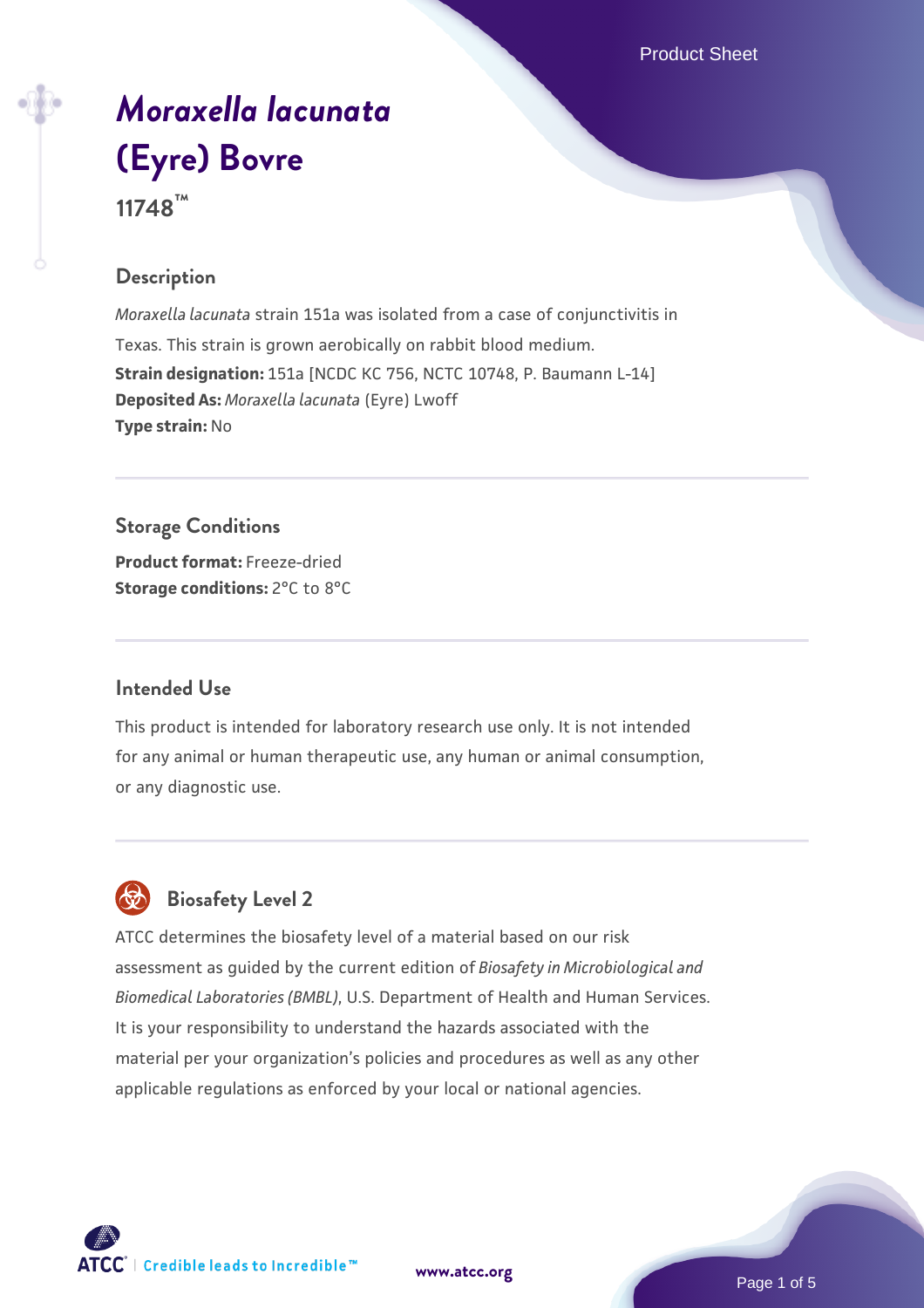Product Sheet

# *[Moraxella lacunata](https://www.atcc.org/products/11748)* **[\(Eyre\) Bovre](https://www.atcc.org/products/11748) 11748™**

# **Description**

*Moraxella lacunata* strain 151a was isolated from a case of conjunctivitis in Texas. This strain is grown aerobically on rabbit blood medium. **Strain designation:** 151a [NCDC KC 756, NCTC 10748, P. Baumann L-14] **Deposited As:** *Moraxella lacunata* (Eyre) Lwoff **Type strain:** No

**Storage Conditions**

**Product format:** Freeze-dried **Storage conditions:** 2°C to 8°C

#### **Intended Use**

This product is intended for laboratory research use only. It is not intended for any animal or human therapeutic use, any human or animal consumption, or any diagnostic use.

# **Biosafety Level 2**

ATCC determines the biosafety level of a material based on our risk assessment as guided by the current edition of *Biosafety in Microbiological and Biomedical Laboratories (BMBL)*, U.S. Department of Health and Human Services. It is your responsibility to understand the hazards associated with the material per your organization's policies and procedures as well as any other applicable regulations as enforced by your local or national agencies.



**[www.atcc.org](http://www.atcc.org)**

Page 1 of 5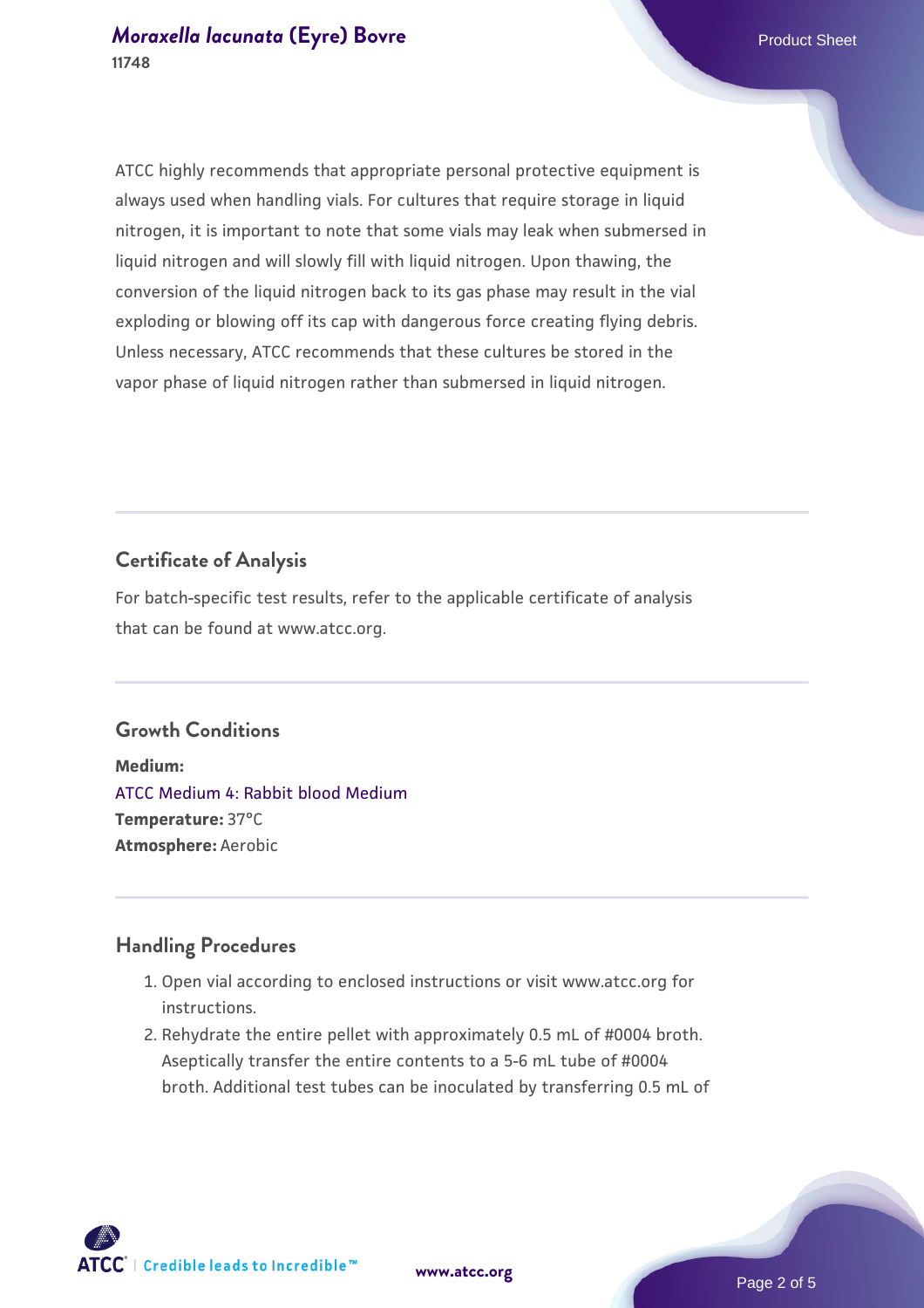ATCC highly recommends that appropriate personal protective equipment is always used when handling vials. For cultures that require storage in liquid nitrogen, it is important to note that some vials may leak when submersed in liquid nitrogen and will slowly fill with liquid nitrogen. Upon thawing, the conversion of the liquid nitrogen back to its gas phase may result in the vial exploding or blowing off its cap with dangerous force creating flying debris. Unless necessary, ATCC recommends that these cultures be stored in the vapor phase of liquid nitrogen rather than submersed in liquid nitrogen.

# **Certificate of Analysis**

For batch-specific test results, refer to the applicable certificate of analysis that can be found at www.atcc.org.

#### **Growth Conditions**

**Medium:**  [ATCC Medium 4: Rabbit blood Medium](https://www.atcc.org/-/media/product-assets/documents/microbial-media-formulations/4/atcc-medium-0004.pdf?rev=c76fa526d381497695ce581b483e9720) **Temperature:** 37°C **Atmosphere:** Aerobic

#### **Handling Procedures**

- 1. Open vial according to enclosed instructions or visit www.atcc.org for instructions.
- 2. Rehydrate the entire pellet with approximately 0.5 mL of #0004 broth. Aseptically transfer the entire contents to a 5-6 mL tube of #0004 broth. Additional test tubes can be inoculated by transferring 0.5 mL of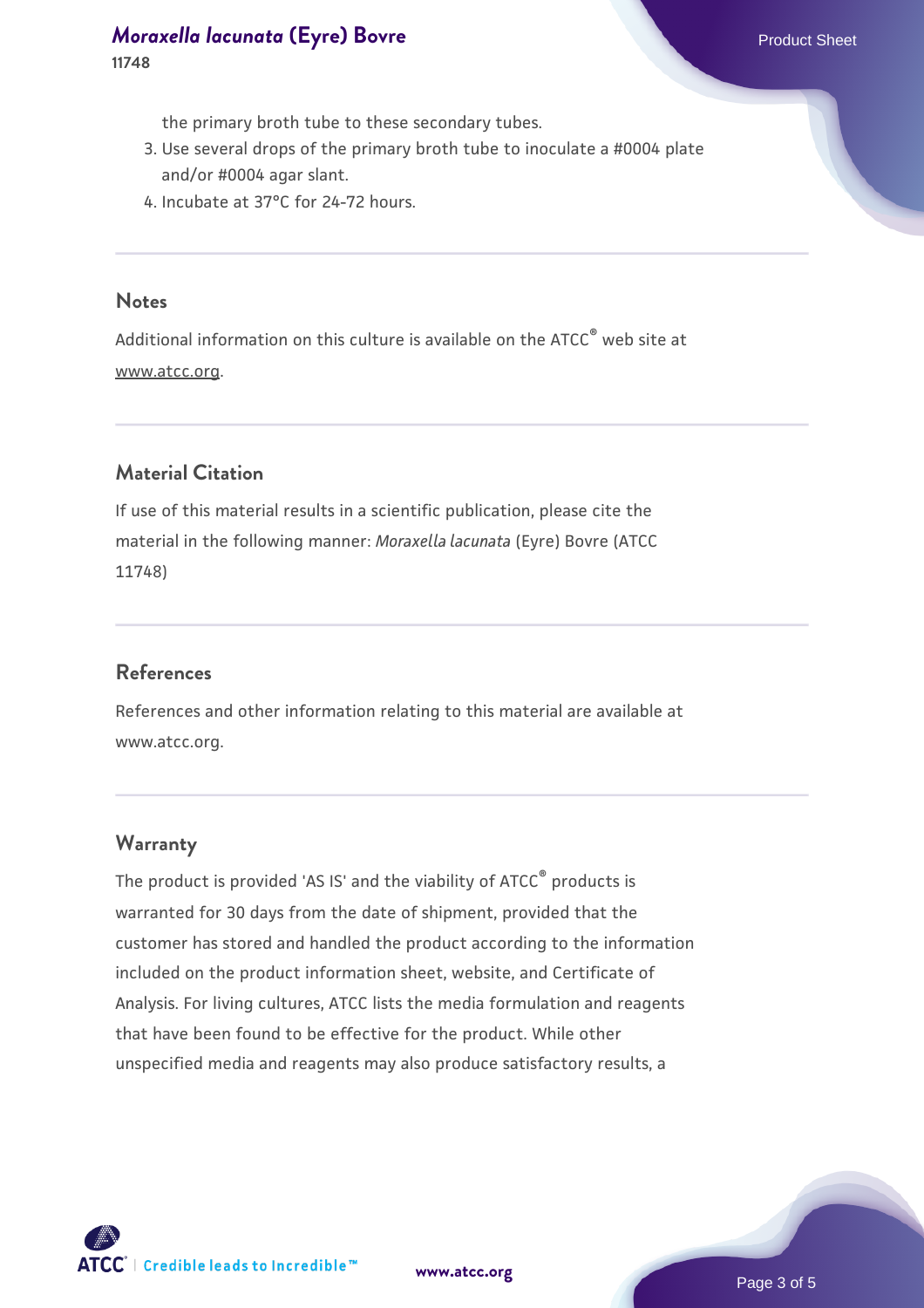the primary broth tube to these secondary tubes.

- 3. Use several drops of the primary broth tube to inoculate a #0004 plate and/or #0004 agar slant.
- 4. Incubate at 37°C for 24-72 hours.

#### **Notes**

Additional information on this culture is available on the ATCC® web site at www.atcc.org.

# **Material Citation**

If use of this material results in a scientific publication, please cite the material in the following manner: *Moraxella lacunata* (Eyre) Bovre (ATCC 11748)

#### **References**

References and other information relating to this material are available at www.atcc.org.

#### **Warranty**

The product is provided 'AS IS' and the viability of ATCC® products is warranted for 30 days from the date of shipment, provided that the customer has stored and handled the product according to the information included on the product information sheet, website, and Certificate of Analysis. For living cultures, ATCC lists the media formulation and reagents that have been found to be effective for the product. While other unspecified media and reagents may also produce satisfactory results, a



**[www.atcc.org](http://www.atcc.org)**

Page 3 of 5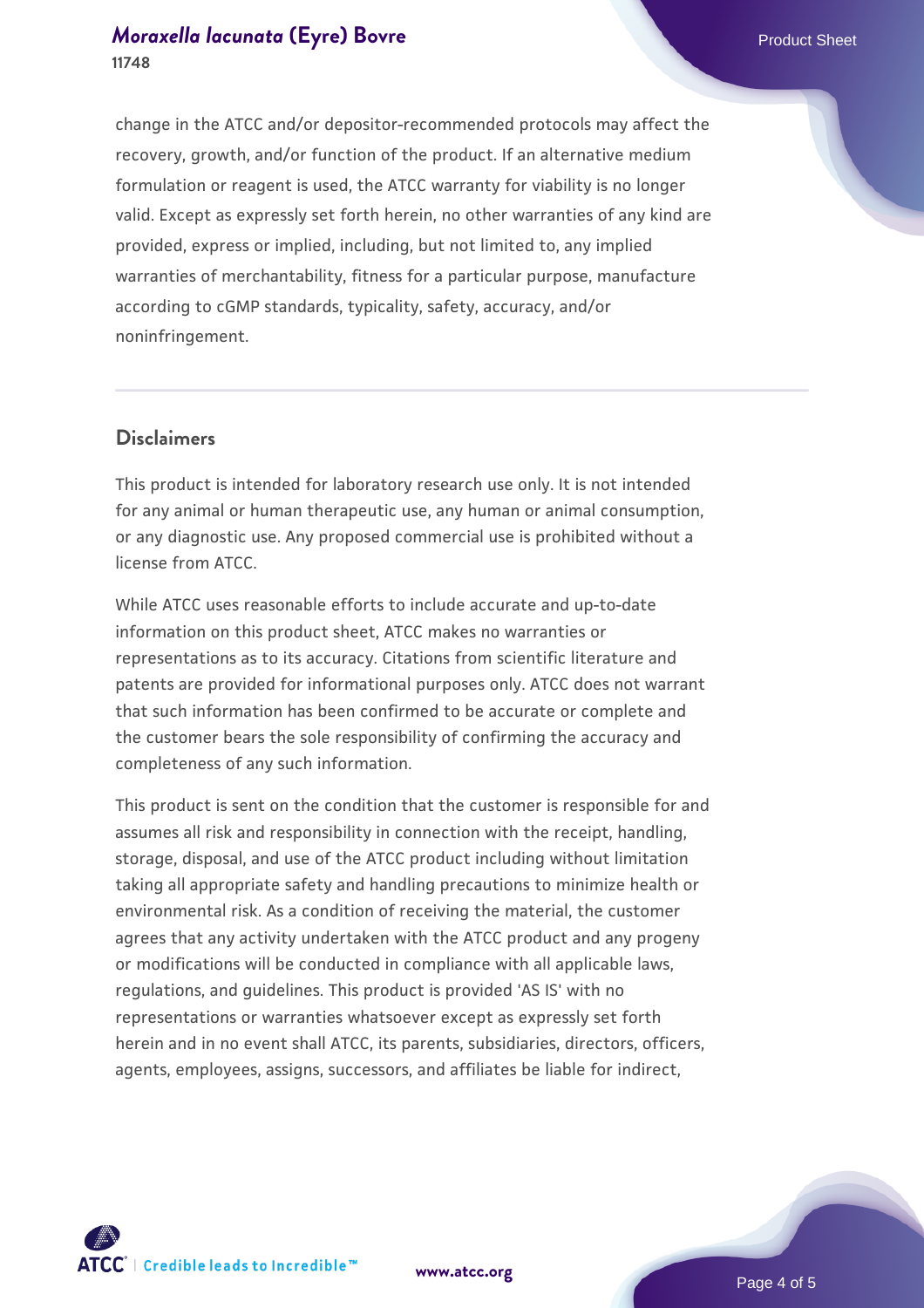change in the ATCC and/or depositor-recommended protocols may affect the recovery, growth, and/or function of the product. If an alternative medium formulation or reagent is used, the ATCC warranty for viability is no longer valid. Except as expressly set forth herein, no other warranties of any kind are provided, express or implied, including, but not limited to, any implied warranties of merchantability, fitness for a particular purpose, manufacture according to cGMP standards, typicality, safety, accuracy, and/or noninfringement.

# **Disclaimers**

This product is intended for laboratory research use only. It is not intended for any animal or human therapeutic use, any human or animal consumption, or any diagnostic use. Any proposed commercial use is prohibited without a license from ATCC.

While ATCC uses reasonable efforts to include accurate and up-to-date information on this product sheet, ATCC makes no warranties or representations as to its accuracy. Citations from scientific literature and patents are provided for informational purposes only. ATCC does not warrant that such information has been confirmed to be accurate or complete and the customer bears the sole responsibility of confirming the accuracy and completeness of any such information.

This product is sent on the condition that the customer is responsible for and assumes all risk and responsibility in connection with the receipt, handling, storage, disposal, and use of the ATCC product including without limitation taking all appropriate safety and handling precautions to minimize health or environmental risk. As a condition of receiving the material, the customer agrees that any activity undertaken with the ATCC product and any progeny or modifications will be conducted in compliance with all applicable laws, regulations, and guidelines. This product is provided 'AS IS' with no representations or warranties whatsoever except as expressly set forth herein and in no event shall ATCC, its parents, subsidiaries, directors, officers, agents, employees, assigns, successors, and affiliates be liable for indirect,